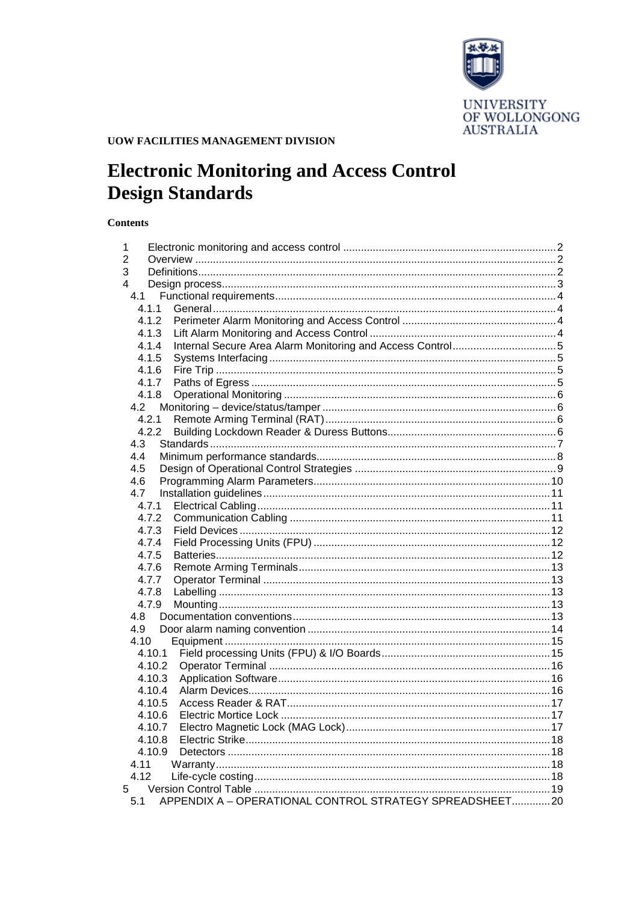

# **UOW FACILITIES MANAGEMENT DIVISION**

# **Electronic Monitoring and Access Control Design Standards**

# **Contents**

| 1              |        |                                                       |     |
|----------------|--------|-------------------------------------------------------|-----|
| 2              |        |                                                       |     |
| 3              |        |                                                       |     |
| 4              |        |                                                       |     |
| 4.1            |        |                                                       |     |
|                | 4.1.1  |                                                       |     |
|                | 4.1.2  |                                                       |     |
|                | 4.1.3  |                                                       |     |
|                | 4.1.4  |                                                       |     |
|                | 4.1.5  |                                                       |     |
|                | 4.1.6  |                                                       |     |
|                | 4.1.7  |                                                       |     |
|                | 4.1.8  |                                                       |     |
| 4.2            |        |                                                       |     |
|                | 4.2.1  |                                                       |     |
|                | 4.2.2  |                                                       |     |
| 4.3            |        |                                                       |     |
| 4.4            |        |                                                       |     |
| 4.5            |        |                                                       |     |
| 4.6            |        |                                                       |     |
| 4.7            |        |                                                       |     |
|                | 4.7.1  |                                                       |     |
|                | 4.7.2  |                                                       |     |
|                | 4.7.3  |                                                       |     |
|                | 4.7.4  |                                                       |     |
|                | 4.7.5  |                                                       |     |
|                | 4.7.6  |                                                       |     |
|                | 4.7.7  |                                                       |     |
|                | 4.7.8  |                                                       |     |
|                | 4.7.9  |                                                       |     |
| 4.8            |        |                                                       |     |
| 4.9            |        |                                                       |     |
|                | 4.10   |                                                       |     |
|                | 4.10.1 |                                                       |     |
|                | 4.10.2 |                                                       |     |
|                | 4.10.3 |                                                       |     |
|                | 4.10.4 |                                                       |     |
|                | 4.10.5 |                                                       |     |
|                | 4.10.6 |                                                       |     |
|                | 4.10.7 |                                                       |     |
|                | 4.10.8 |                                                       |     |
|                | 4.10.9 |                                                       |     |
| 4.11           |        |                                                       |     |
| 4.12           |        |                                                       |     |
| 5 <sup>1</sup> |        | APPENDIX A - OPERATIONAL CONTROL STRATEGY SPREADSHEET |     |
| 5.1            |        |                                                       | .20 |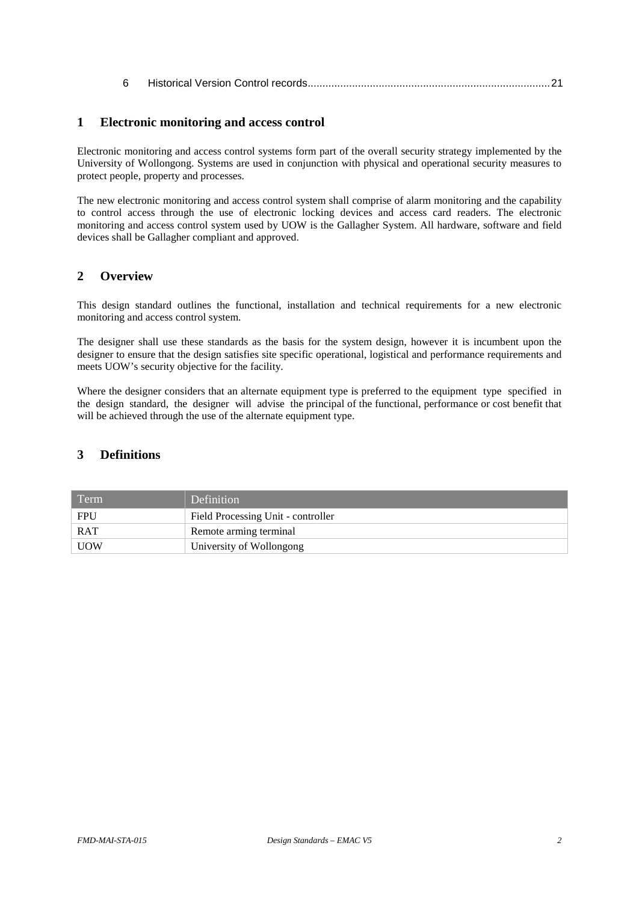| 6 |  |  |  |  |  |  |
|---|--|--|--|--|--|--|
|---|--|--|--|--|--|--|

# <span id="page-1-0"></span>**1 Electronic monitoring and access control**

Electronic monitoring and access control systems form part of the overall security strategy implemented by the University of Wollongong. Systems are used in conjunction with physical and operational security measures to protect people, property and processes.

The new electronic monitoring and access control system shall comprise of alarm monitoring and the capability to control access through the use of electronic locking devices and access card readers. The electronic monitoring and access control system used by UOW is the Gallagher System. All hardware, software and field devices shall be Gallagher compliant and approved.

# <span id="page-1-1"></span>**2 Overview**

This design standard outlines the functional, installation and technical requirements for a new electronic monitoring and access control system.

The designer shall use these standards as the basis for the system design, however it is incumbent upon the designer to ensure that the design satisfies site specific operational, logistical and performance requirements and meets UOW's security objective for the facility.

Where the designer considers that an alternate equipment type is preferred to the equipment type specified in the design standard, the designer will advise the principal of the functional, performance or cost benefit that will be achieved through the use of the alternate equipment type.

# <span id="page-1-2"></span>**3 Definitions**

| Term       | Definition                         |
|------------|------------------------------------|
| <b>FPU</b> | Field Processing Unit - controller |
| RAT        | Remote arming terminal             |
| <b>UOW</b> | University of Wollongong           |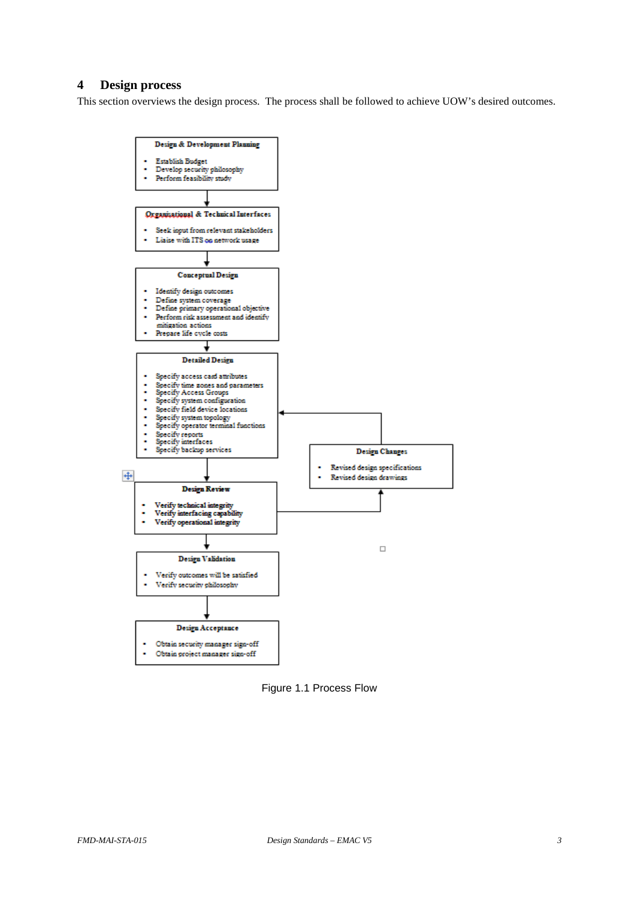# <span id="page-2-0"></span>**4 Design process**

This section overviews the design process. The process shall be followed to achieve UOW's desired outcomes.



Figure 1.1 Process Flow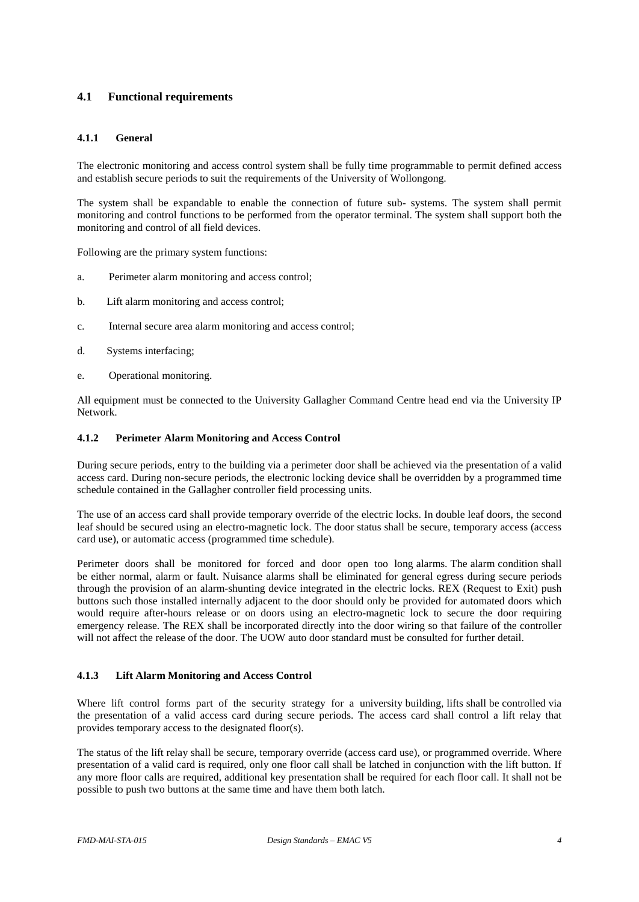# <span id="page-3-0"></span>**4.1 Functional requirements**

#### <span id="page-3-1"></span>**4.1.1 General**

The electronic monitoring and access control system shall be fully time programmable to permit defined access and establish secure periods to suit the requirements of the University of Wollongong.

The system shall be expandable to enable the connection of future sub- systems. The system shall permit monitoring and control functions to be performed from the operator terminal. The system shall support both the monitoring and control of all field devices.

Following are the primary system functions:

- a. Perimeter alarm monitoring and access control;
- b. Lift alarm monitoring and access control;
- c. Internal secure area alarm monitoring and access control;
- d. Systems interfacing;
- e. Operational monitoring.

All equipment must be connected to the University Gallagher Command Centre head end via the University IP Network.

#### <span id="page-3-2"></span>**4.1.2 Perimeter Alarm Monitoring and Access Control**

During secure periods, entry to the building via a perimeter door shall be achieved via the presentation of a valid access card. During non-secure periods, the electronic locking device shall be overridden by a programmed time schedule contained in the Gallagher controller field processing units.

The use of an access card shall provide temporary override of the electric locks. In double leaf doors, the second leaf should be secured using an electro-magnetic lock. The door status shall be secure, temporary access (access card use), or automatic access (programmed time schedule).

Perimeter doors shall be monitored for forced and door open too long alarms. The alarm condition shall be either normal, alarm or fault. Nuisance alarms shall be eliminated for general egress during secure periods through the provision of an alarm-shunting device integrated in the electric locks. REX (Request to Exit) push buttons such those installed internally adjacent to the door should only be provided for automated doors which would require after-hours release or on doors using an electro-magnetic lock to secure the door requiring emergency release. The REX shall be incorporated directly into the door wiring so that failure of the controller will not affect the release of the door. The UOW auto door standard must be consulted for further detail.

#### <span id="page-3-3"></span>**4.1.3 Lift Alarm Monitoring and Access Control**

Where lift control forms part of the security strategy for a university building, lifts shall be controlled via the presentation of a valid access card during secure periods. The access card shall control a lift relay that provides temporary access to the designated floor(s).

The status of the lift relay shall be secure, temporary override (access card use), or programmed override. Where presentation of a valid card is required, only one floor call shall be latched in conjunction with the lift button. If any more floor calls are required, additional key presentation shall be required for each floor call. It shall not be possible to push two buttons at the same time and have them both latch.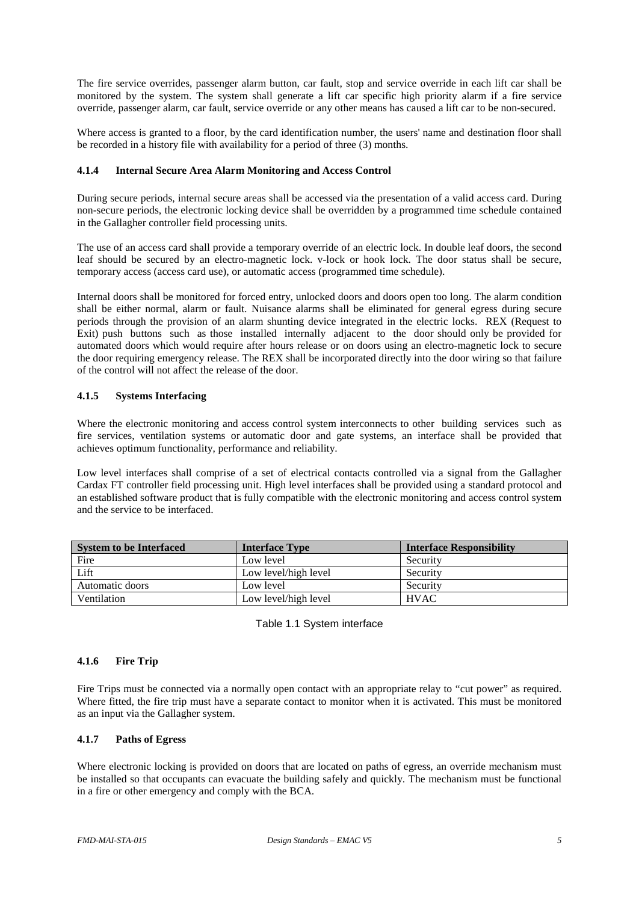The fire service overrides, passenger alarm button, car fault, stop and service override in each lift car shall be monitored by the system. The system shall generate a lift car specific high priority alarm if a fire service override, passenger alarm, car fault, service override or any other means has caused a lift car to be non-secured.

Where access is granted to a floor, by the card identification number, the users' name and destination floor shall be recorded in a history file with availability for a period of three (3) months.

#### <span id="page-4-0"></span>**4.1.4 Internal Secure Area Alarm Monitoring and Access Control**

During secure periods, internal secure areas shall be accessed via the presentation of a valid access card. During non-secure periods, the electronic locking device shall be overridden by a programmed time schedule contained in the Gallagher controller field processing units.

The use of an access card shall provide a temporary override of an electric lock. In double leaf doors, the second leaf should be secured by an electro-magnetic lock. v-lock or hook lock. The door status shall be secure, temporary access (access card use), or automatic access (programmed time schedule).

Internal doors shall be monitored for forced entry, unlocked doors and doors open too long. The alarm condition shall be either normal, alarm or fault. Nuisance alarms shall be eliminated for general egress during secure periods through the provision of an alarm shunting device integrated in the electric locks. REX (Request to Exit) push buttons such as those installed internally adjacent to the door should only be provided for automated doors which would require after hours release or on doors using an electro-magnetic lock to secure the door requiring emergency release. The REX shall be incorporated directly into the door wiring so that failure of the control will not affect the release of the door.

# <span id="page-4-1"></span>**4.1.5 Systems Interfacing**

Where the electronic monitoring and access control system interconnects to other building services such as fire services, ventilation systems or automatic door and gate systems, an interface shall be provided that achieves optimum functionality, performance and reliability.

Low level interfaces shall comprise of a set of electrical contacts controlled via a signal from the Gallagher Cardax FT controller field processing unit. High level interfaces shall be provided using a standard protocol and an established software product that is fully compatible with the electronic monitoring and access control system and the service to be interfaced.

| <b>System to be Interfaced</b> | <b>Interface Type</b> | <b>Interface Responsibility</b> |
|--------------------------------|-----------------------|---------------------------------|
| Fire                           | Low level             | Security                        |
| Lift                           | Low level/high level  | Security                        |
| Automatic doors                | Low level             | Security                        |
| Ventilation                    | Low level/high level  | <b>HVAC</b>                     |

Table 1.1 System interface

# <span id="page-4-2"></span>**4.1.6 Fire Trip**

Fire Trips must be connected via a normally open contact with an appropriate relay to "cut power" as required. Where fitted, the fire trip must have a separate contact to monitor when it is activated. This must be monitored as an input via the Gallagher system.

#### <span id="page-4-3"></span>**4.1.7 Paths of Egress**

Where electronic locking is provided on doors that are located on paths of egress, an override mechanism must be installed so that occupants can evacuate the building safely and quickly. The mechanism must be functional in a fire or other emergency and comply with the BCA.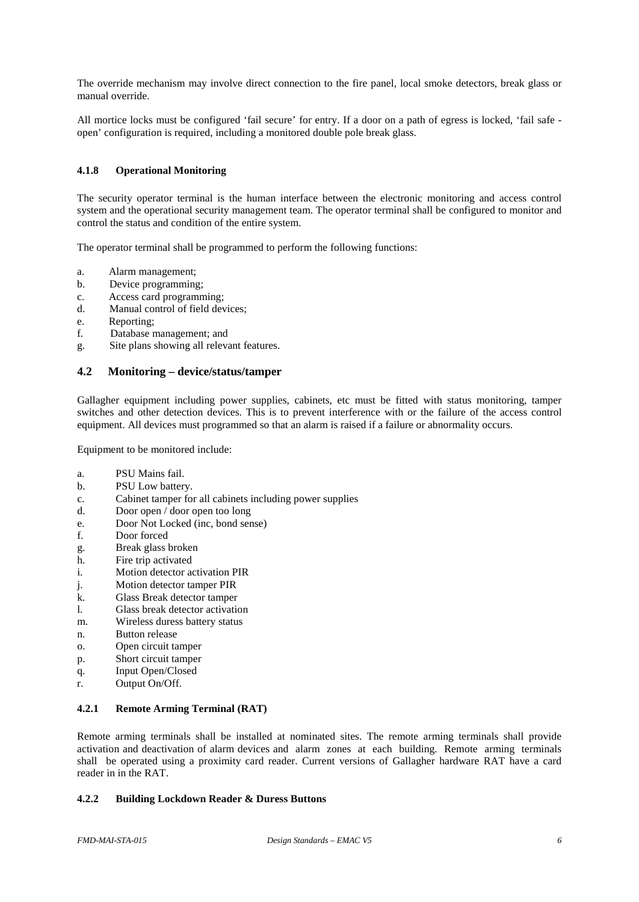The override mechanism may involve direct connection to the fire panel, local smoke detectors, break glass or manual override.

All mortice locks must be configured 'fail secure' for entry. If a door on a path of egress is locked, 'fail safe open' configuration is required, including a monitored double pole break glass.

## <span id="page-5-0"></span>**4.1.8 Operational Monitoring**

The security operator terminal is the human interface between the electronic monitoring and access control system and the operational security management team. The operator terminal shall be configured to monitor and control the status and condition of the entire system.

The operator terminal shall be programmed to perform the following functions:

- a. Alarm management;
- b. Device programming;
- c. Access card programming;
- d. Manual control of field devices;
- e. Reporting;<br>f. Database n
- Database management; and
- <span id="page-5-1"></span>g. Site plans showing all relevant features.

#### **4.2 Monitoring – device/status/tamper**

Gallagher equipment including power supplies, cabinets, etc must be fitted with status monitoring, tamper switches and other detection devices. This is to prevent interference with or the failure of the access control equipment. All devices must programmed so that an alarm is raised if a failure or abnormality occurs.

Equipment to be monitored include:

- a. PSU Mains fail.
- b. PSU Low battery.
- c. Cabinet tamper for all cabinets including power supplies
- d. Door open / door open too long
- e. Door Not Locked (inc, bond sense)
- f. Door forced
- g. Break glass broken
- h. Fire trip activated
- i. Motion detector activation PIR
- j. Motion detector tamper PIR
- k. Glass Break detector tamper
- l. Glass break detector activation
- m. Wireless duress battery status
- n. Button release
- o. Open circuit tamper
- p. Short circuit tamper
- q. Input Open/Closed
- <span id="page-5-2"></span>r. Output On/Off.

# **4.2.1 Remote Arming Terminal (RAT)**

Remote arming terminals shall be installed at nominated sites. The remote arming terminals shall provide activation and deactivation of alarm devices and alarm zones at each building. Remote arming terminals shall be operated using a proximity card reader. Current versions of Gallagher hardware RAT have a card reader in in the RAT.

#### <span id="page-5-3"></span>**4.2.2 Building Lockdown Reader & Duress Buttons**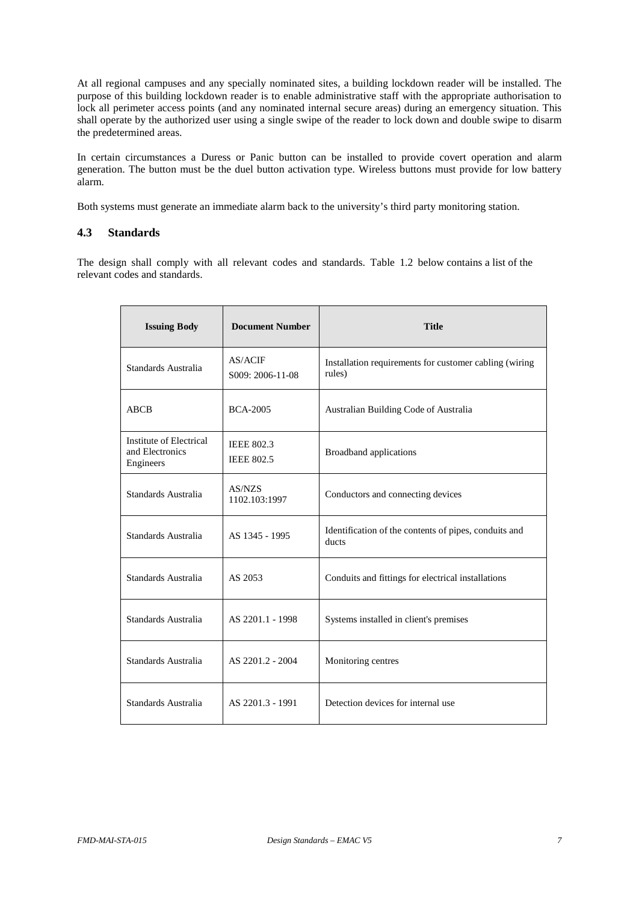At all regional campuses and any specially nominated sites, a building lockdown reader will be installed. The purpose of this building lockdown reader is to enable administrative staff with the appropriate authorisation to lock all perimeter access points (and any nominated internal secure areas) during an emergency situation. This shall operate by the authorized user using a single swipe of the reader to lock down and double swipe to disarm the predetermined areas.

In certain circumstances a Duress or Panic button can be installed to provide covert operation and alarm generation. The button must be the duel button activation type. Wireless buttons must provide for low battery alarm.

<span id="page-6-0"></span>Both systems must generate an immediate alarm back to the university's third party monitoring station.

#### **4.3 Standards**

The design shall comply with all relevant codes and standards. Table 1.2 below contains a list of the relevant codes and standards.

| <b>Issuing Body</b>                                     | <b>Document Number</b>                 | <b>Title</b>                                                     |
|---------------------------------------------------------|----------------------------------------|------------------------------------------------------------------|
| Standards Australia                                     | AS/ACIF<br>S009: 2006-11-08            | Installation requirements for customer cabling (wiring<br>rules) |
| ABCB                                                    | <b>BCA-2005</b>                        | Australian Building Code of Australia                            |
| Institute of Electrical<br>and Electronics<br>Engineers | <b>IEEE 802.3</b><br><b>IEEE 802.5</b> | <b>Broadband</b> applications                                    |
| Standards Australia                                     | AS/NZS<br>1102.103:1997                | Conductors and connecting devices                                |
| Standards Australia                                     | AS 1345 - 1995                         | Identification of the contents of pipes, conduits and<br>ducts   |
| Standards Australia                                     | AS 2053                                | Conduits and fittings for electrical installations               |
| Standards Australia                                     | AS 2201.1 - 1998                       | Systems installed in client's premises                           |
| Standards Australia                                     | AS 2201.2 - 2004                       | Monitoring centres                                               |
| Standards Australia                                     | AS 2201.3 - 1991                       | Detection devices for internal use                               |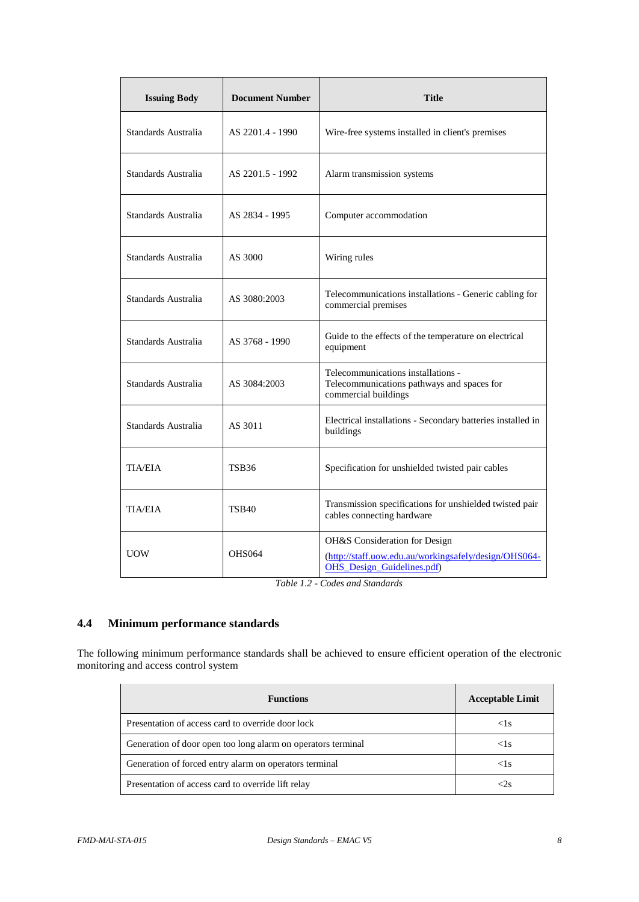| <b>Issuing Body</b> | <b>Document Number</b> | <b>Title</b>                                                                                                                |  |  |
|---------------------|------------------------|-----------------------------------------------------------------------------------------------------------------------------|--|--|
| Standards Australia | AS 2201.4 - 1990       | Wire-free systems installed in client's premises                                                                            |  |  |
| Standards Australia | AS 2201.5 - 1992       | Alarm transmission systems                                                                                                  |  |  |
| Standards Australia | AS 2834 - 1995         | Computer accommodation                                                                                                      |  |  |
| Standards Australia | AS 3000                | Wiring rules                                                                                                                |  |  |
| Standards Australia | AS 3080:2003           | Telecommunications installations - Generic cabling for<br>commercial premises                                               |  |  |
| Standards Australia | AS 3768 - 1990         | Guide to the effects of the temperature on electrical<br>equipment                                                          |  |  |
| Standards Australia | AS 3084:2003           | Telecommunications installations -<br>Telecommunications pathways and spaces for<br>commercial buildings                    |  |  |
| Standards Australia | AS 3011                | Electrical installations - Secondary batteries installed in<br>buildings                                                    |  |  |
| <b>TIA/EIA</b>      | TSB36                  | Specification for unshielded twisted pair cables                                                                            |  |  |
| <b>TIA/EIA</b>      | <b>TSB40</b>           | Transmission specifications for unshielded twisted pair<br>cables connecting hardware                                       |  |  |
| <b>UOW</b>          | <b>OHS064</b>          | OH&S Consideration for Design<br>(http://staff.uow.edu.au/workingsafely/design/OHS064-<br><b>OHS</b> Design Guidelines.pdf) |  |  |

*Table 1.2 - Codes and Standards*

# <span id="page-7-0"></span>**4.4 Minimum performance standards**

The following minimum performance standards shall be achieved to ensure efficient operation of the electronic monitoring and access control system

| <b>Functions</b>                                             | <b>Acceptable Limit</b> |
|--------------------------------------------------------------|-------------------------|
| Presentation of access card to override door lock            | <1s                     |
| Generation of door open too long alarm on operators terminal | $<$ 1s                  |
| Generation of forced entry alarm on operators terminal       | $\leq$ 1s               |
| Presentation of access card to override lift relay           | $<$ 2s                  |

J.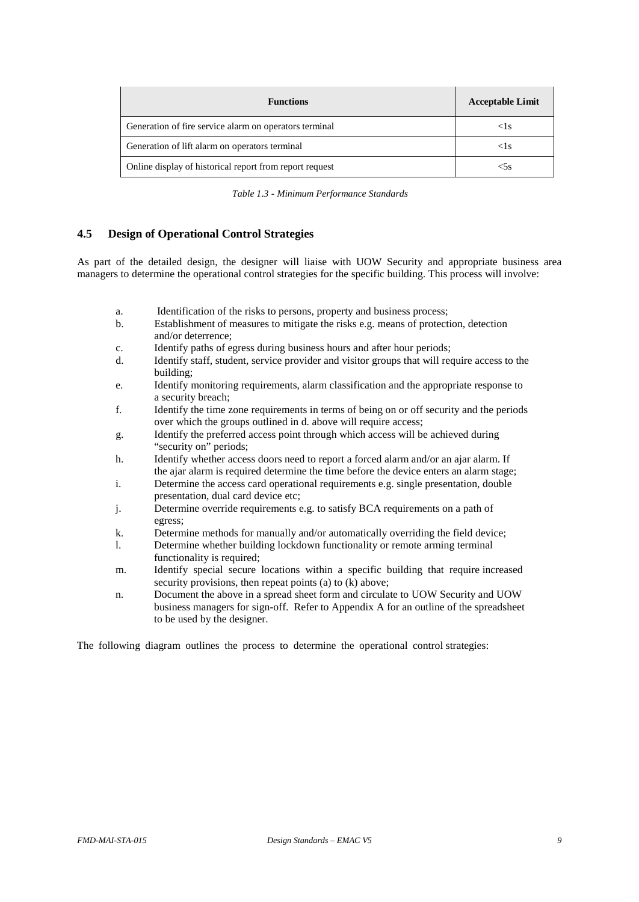| <b>Functions</b>                                        | <b>Acceptable Limit</b> |
|---------------------------------------------------------|-------------------------|
| Generation of fire service alarm on operators terminal  | $\leq$ ls               |
| Generation of lift alarm on operators terminal          | $\leq$ ls               |
| Online display of historical report from report request | < 5s                    |

*Table 1.3 - Minimum Performance Standards*

# <span id="page-8-0"></span>**4.5 Design of Operational Control Strategies**

As part of the detailed design, the designer will liaise with UOW Security and appropriate business area managers to determine the operational control strategies for the specific building. This process will involve:

- a. Identification of the risks to persons, property and business process;<br>b. Establishment of measures to mitigate the risks e.g. means of protection
- Establishment of measures to mitigate the risks e.g. means of protection, detection and/or deterrence;
- c. Identify paths of egress during business hours and after hour periods;
- d. Identify staff, student, service provider and visitor groups that will require access to the building;
- e. Identify monitoring requirements, alarm classification and the appropriate response to a security breach;
- f. Identify the time zone requirements in terms of being on or off security and the periods over which the groups outlined in d. above will require access;
- g. Identify the preferred access point through which access will be achieved during "security on" periods;
- h. Identify whether access doors need to report a forced alarm and/or an ajar alarm. If the ajar alarm is required determine the time before the device enters an alarm stage;
- i. Determine the access card operational requirements e.g. single presentation, double presentation, dual card device etc;
- j. Determine override requirements e.g. to satisfy BCA requirements on a path of egress;
- k. Determine methods for manually and/or automatically overriding the field device;<br>1. Determine whether building lockdown functionality or remote arming terminal
- Determine whether building lockdown functionality or remote arming terminal functionality is required;
- m. Identify special secure locations within a specific building that require increased security provisions, then repeat points (a) to (k) above;
- n. Document the above in a spread sheet form and circulate to UOW Security and UOW business managers for sign-off. Refer to Appendix A for an outline of the spreadsheet to be used by the designer.

The following diagram outlines the process to determine the operational control strategies: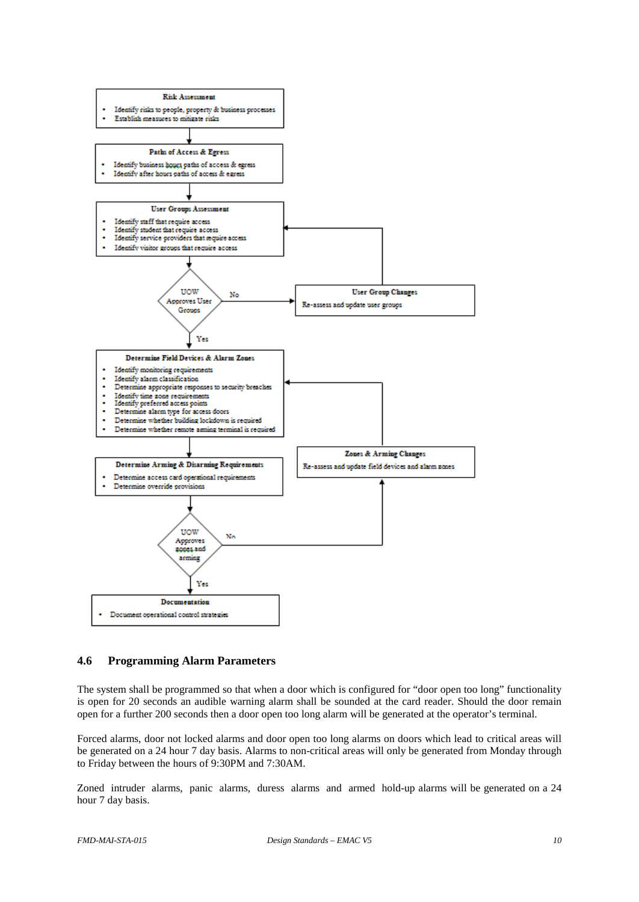

# <span id="page-9-0"></span>**4.6 Programming Alarm Parameters**

The system shall be programmed so that when a door which is configured for "door open too long" functionality is open for 20 seconds an audible warning alarm shall be sounded at the card reader. Should the door remain open for a further 200 seconds then a door open too long alarm will be generated at the operator's terminal.

Forced alarms, door not locked alarms and door open too long alarms on doors which lead to critical areas will be generated on a 24 hour 7 day basis. Alarms to non-critical areas will only be generated from Monday through to Friday between the hours of 9:30PM and 7:30AM.

Zoned intruder alarms, panic alarms, duress alarms and armed hold-up alarms will be generated on a 24 hour 7 day basis.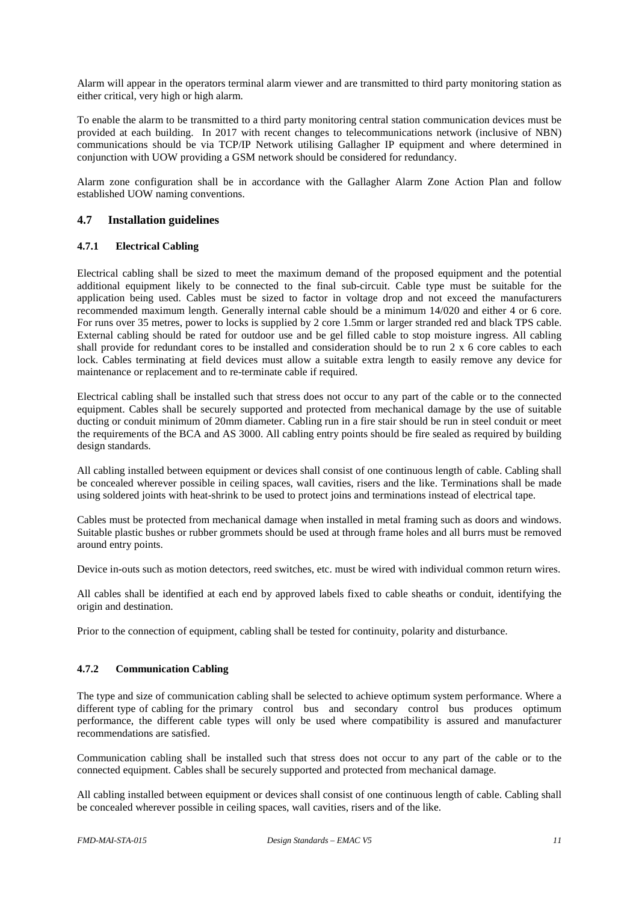Alarm will appear in the operators terminal alarm viewer and are transmitted to third party monitoring station as either critical, very high or high alarm.

To enable the alarm to be transmitted to a third party monitoring central station communication devices must be provided at each building. In 2017 with recent changes to telecommunications network (inclusive of NBN) communications should be via TCP/IP Network utilising Gallagher IP equipment and where determined in conjunction with UOW providing a GSM network should be considered for redundancy.

Alarm zone configuration shall be in accordance with the Gallagher Alarm Zone Action Plan and follow established UOW naming conventions.

# <span id="page-10-0"></span>**4.7 Installation guidelines**

#### <span id="page-10-1"></span>**4.7.1 Electrical Cabling**

Electrical cabling shall be sized to meet the maximum demand of the proposed equipment and the potential additional equipment likely to be connected to the final sub-circuit. Cable type must be suitable for the application being used. Cables must be sized to factor in voltage drop and not exceed the manufacturers recommended maximum length. Generally internal cable should be a minimum 14/020 and either 4 or 6 core. For runs over 35 metres, power to locks is supplied by 2 core 1.5mm or larger stranded red and black TPS cable. External cabling should be rated for outdoor use and be gel filled cable to stop moisture ingress. All cabling shall provide for redundant cores to be installed and consideration should be to run 2 x 6 core cables to each lock. Cables terminating at field devices must allow a suitable extra length to easily remove any device for maintenance or replacement and to re-terminate cable if required.

Electrical cabling shall be installed such that stress does not occur to any part of the cable or to the connected equipment. Cables shall be securely supported and protected from mechanical damage by the use of suitable ducting or conduit minimum of 20mm diameter. Cabling run in a fire stair should be run in steel conduit or meet the requirements of the BCA and AS 3000. All cabling entry points should be fire sealed as required by building design standards.

All cabling installed between equipment or devices shall consist of one continuous length of cable. Cabling shall be concealed wherever possible in ceiling spaces, wall cavities, risers and the like. Terminations shall be made using soldered joints with heat-shrink to be used to protect joins and terminations instead of electrical tape.

Cables must be protected from mechanical damage when installed in metal framing such as doors and windows. Suitable plastic bushes or rubber grommets should be used at through frame holes and all burrs must be removed around entry points.

Device in-outs such as motion detectors, reed switches, etc. must be wired with individual common return wires.

All cables shall be identified at each end by approved labels fixed to cable sheaths or conduit, identifying the origin and destination.

Prior to the connection of equipment, cabling shall be tested for continuity, polarity and disturbance.

#### <span id="page-10-2"></span>**4.7.2 Communication Cabling**

The type and size of communication cabling shall be selected to achieve optimum system performance. Where a different type of cabling for the primary control bus and secondary control bus produces optimum performance, the different cable types will only be used where compatibility is assured and manufacturer recommendations are satisfied.

Communication cabling shall be installed such that stress does not occur to any part of the cable or to the connected equipment. Cables shall be securely supported and protected from mechanical damage.

All cabling installed between equipment or devices shall consist of one continuous length of cable. Cabling shall be concealed wherever possible in ceiling spaces, wall cavities, risers and of the like.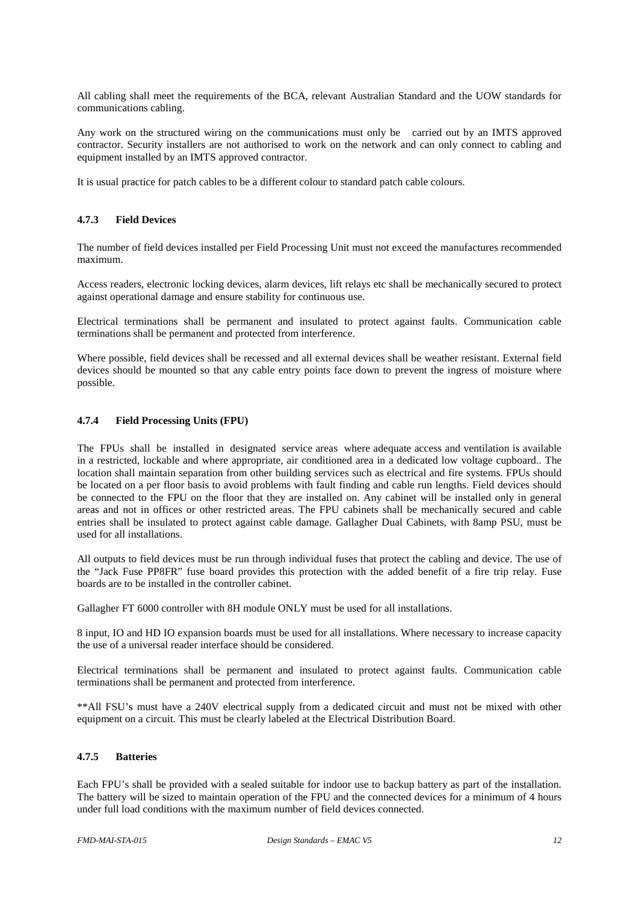All cabling shall meet the requirements of the BCA, relevant Australian Standard and the UOW standards for communications cabling.

Any work on the structured wiring on the communications must only be carried out by an IMTS approved contractor. Security installers are not authorised to work on the network and can only connect to cabling and equipment installed by an IMTS approved contractor.

It is usual practice for patch cables to be a different colour to standard patch cable colours.

#### <span id="page-11-0"></span>**4.7.3 Field Devices**

The number of field devices installed per Field Processing Unit must not exceed the manufactures recommended maximum.

Access readers, electronic locking devices, alarm devices, lift relays etc shall be mechanically secured to protect against operational damage and ensure stability for continuous use.

Electrical terminations shall be permanent and insulated to protect against faults. Communication cable terminations shall be permanent and protected from interference.

Where possible, field devices shall be recessed and all external devices shall be weather resistant. External field devices should be mounted so that any cable entry points face down to prevent the ingress of moisture where possible.

#### <span id="page-11-1"></span>**4.7.4 Field Processing Units (FPU)**

The FPUs shall be installed in designated service areas where adequate access and ventilation is available in a restricted, lockable and where appropriate, air conditioned area in a dedicated low voltage cupboard.. The location shall maintain separation from other building services such as electrical and fire systems. FPUs should be located on a per floor basis to avoid problems with fault finding and cable run lengths. Field devices should be connected to the FPU on the floor that they are installed on. Any cabinet will be installed only in general areas and not in offices or other restricted areas. The FPU cabinets shall be mechanically secured and cable entries shall be insulated to protect against cable damage. Gallagher Dual Cabinets, with 8amp PSU, must be used for all installations.

All outputs to field devices must be run through individual fuses that protect the cabling and device. The use of the "Jack Fuse PP8FR" fuse board provides this protection with the added benefit of a fire trip relay. Fuse boards are to be installed in the controller cabinet.

Gallagher FT 6000 controller with 8H module ONLY must be used for all installations.

8 input, IO and HD IO expansion boards must be used for all installations. Where necessary to increase capacity the use of a universal reader interface should be considered.

Electrical terminations shall be permanent and insulated to protect against faults. Communication cable terminations shall be permanent and protected from interference.

\*\*All FSU's must have a 240V electrical supply from a dedicated circuit and must not be mixed with other equipment on a circuit. This must be clearly labeled at the Electrical Distribution Board.

#### <span id="page-11-2"></span>**4.7.5 Batteries**

Each FPU's shall be provided with a sealed suitable for indoor use to backup battery as part of the installation. The battery will be sized to maintain operation of the FPU and the connected devices for a minimum of 4 hours under full load conditions with the maximum number of field devices connected.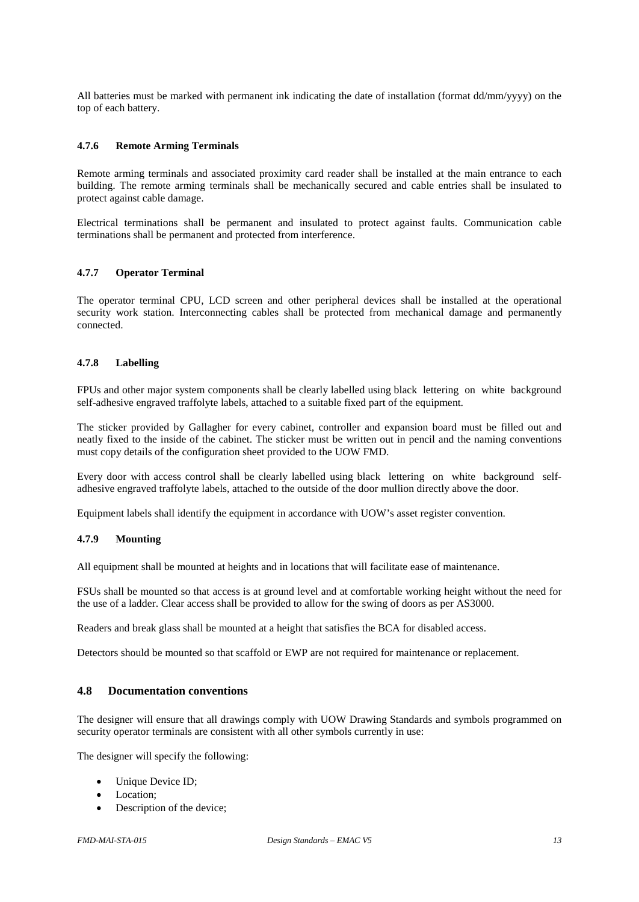All batteries must be marked with permanent ink indicating the date of installation (format dd/mm/yyyy) on the top of each battery.

#### <span id="page-12-0"></span>**4.7.6 Remote Arming Terminals**

Remote arming terminals and associated proximity card reader shall be installed at the main entrance to each building. The remote arming terminals shall be mechanically secured and cable entries shall be insulated to protect against cable damage.

Electrical terminations shall be permanent and insulated to protect against faults. Communication cable terminations shall be permanent and protected from interference.

#### <span id="page-12-1"></span>**4.7.7 Operator Terminal**

The operator terminal CPU, LCD screen and other peripheral devices shall be installed at the operational security work station. Interconnecting cables shall be protected from mechanical damage and permanently connected.

#### <span id="page-12-2"></span>**4.7.8 Labelling**

FPUs and other major system components shall be clearly labelled using black lettering on white background self-adhesive engraved traffolyte labels, attached to a suitable fixed part of the equipment.

The sticker provided by Gallagher for every cabinet, controller and expansion board must be filled out and neatly fixed to the inside of the cabinet. The sticker must be written out in pencil and the naming conventions must copy details of the configuration sheet provided to the UOW FMD.

Every door with access control shall be clearly labelled using black lettering on white background selfadhesive engraved traffolyte labels, attached to the outside of the door mullion directly above the door.

<span id="page-12-3"></span>Equipment labels shall identify the equipment in accordance with UOW's asset register convention.

#### **4.7.9 Mounting**

All equipment shall be mounted at heights and in locations that will facilitate ease of maintenance.

FSUs shall be mounted so that access is at ground level and at comfortable working height without the need for the use of a ladder. Clear access shall be provided to allow for the swing of doors as per AS3000.

Readers and break glass shall be mounted at a height that satisfies the BCA for disabled access.

Detectors should be mounted so that scaffold or EWP are not required for maintenance or replacement.

# <span id="page-12-4"></span>**4.8 Documentation conventions**

The designer will ensure that all drawings comply with UOW Drawing Standards and symbols programmed on security operator terminals are consistent with all other symbols currently in use:

The designer will specify the following:

- Unique Device ID;
- Location:
- Description of the device;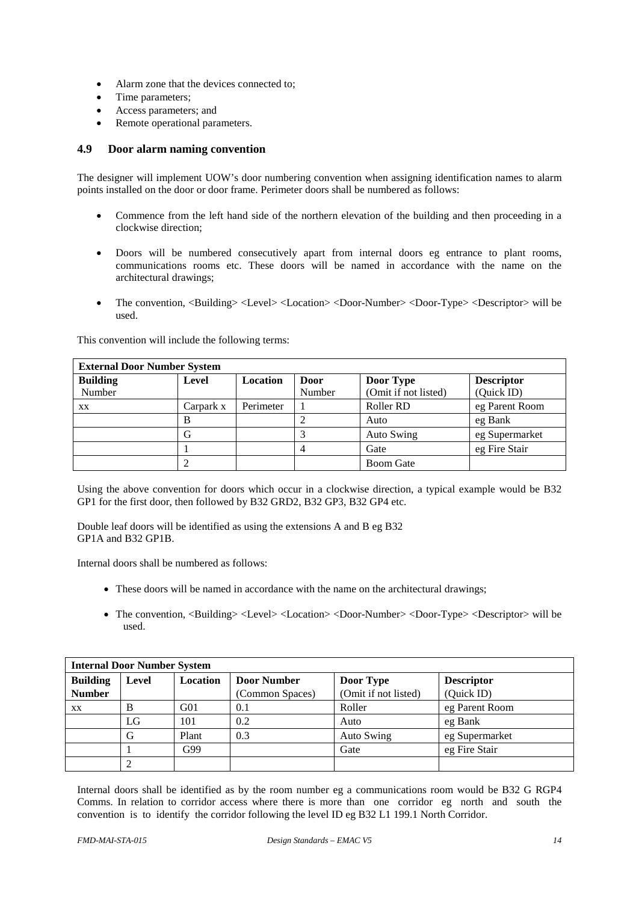- Alarm zone that the devices connected to;
- Time parameters;
- Access parameters; and
- Remote operational parameters.

## <span id="page-13-0"></span>**4.9 Door alarm naming convention**

The designer will implement UOW's door numbering convention when assigning identification names to alarm points installed on the door or door frame. Perimeter doors shall be numbered as follows:

- Commence from the left hand side of the northern elevation of the building and then proceeding in a clockwise direction;
- Doors will be numbered consecutively apart from internal doors eg entrance to plant rooms, communications rooms etc. These doors will be named in accordance with the name on the architectural drawings;
- The convention, <Building> <Level> <Location> <Door-Number> <Door-Type> <Descriptor> will be used.

| This convention will include the following terms: |  |  |
|---------------------------------------------------|--|--|
|---------------------------------------------------|--|--|

| <b>External Door Number System</b> |           |                 |        |                      |                   |  |
|------------------------------------|-----------|-----------------|--------|----------------------|-------------------|--|
| <b>Building</b>                    | Level     | <b>Location</b> | Door   | Door Type            | <b>Descriptor</b> |  |
| Number                             |           |                 | Number | (Omit if not listed) | (Quick ID)        |  |
| XX                                 | Carpark x | Perimeter       |        | Roller RD            | eg Parent Room    |  |
|                                    | B         |                 |        | Auto                 | eg Bank           |  |
|                                    |           |                 |        | <b>Auto Swing</b>    | eg Supermarket    |  |
|                                    |           |                 |        | Gate                 | eg Fire Stair     |  |
|                                    |           |                 |        | <b>Boom Gate</b>     |                   |  |

Using the above convention for doors which occur in a clockwise direction, a typical example would be B32 GP1 for the first door, then followed by B32 GRD2, B32 GP3, B32 GP4 etc.

Double leaf doors will be identified as using the extensions A and B eg B32 GP1A and B32 GP1B.

Internal doors shall be numbered as follows:

- These doors will be named in accordance with the name on the architectural drawings;
- The convention, <Building> <Level> <Location> <Door-Number> <Door-Type> <Descriptor> will be used.

| <b>Internal Door Number System</b>                                                           |    |       |                 |                      |                |  |  |
|----------------------------------------------------------------------------------------------|----|-------|-----------------|----------------------|----------------|--|--|
| <b>Building</b><br><b>Door Number</b><br>Location<br><b>Descriptor</b><br>Level<br>Door Type |    |       |                 |                      |                |  |  |
| <b>Number</b>                                                                                |    |       | (Common Spaces) | (Omit if not listed) | (Quick ID)     |  |  |
| XX                                                                                           | В  | G01   | 0.1             | Roller               | eg Parent Room |  |  |
|                                                                                              | LG | 101   | 0.2             | Auto                 | eg Bank        |  |  |
|                                                                                              | G  | Plant | 0.3             | <b>Auto Swing</b>    | eg Supermarket |  |  |
|                                                                                              |    | G99   |                 | Gate                 | eg Fire Stair  |  |  |
|                                                                                              |    |       |                 |                      |                |  |  |

Internal doors shall be identified as by the room number eg a communications room would be B32 G RGP4 Comms. In relation to corridor access where there is more than one corridor eg north and south the convention is to identify the corridor following the level ID eg B32 L1 199.1 North Corridor.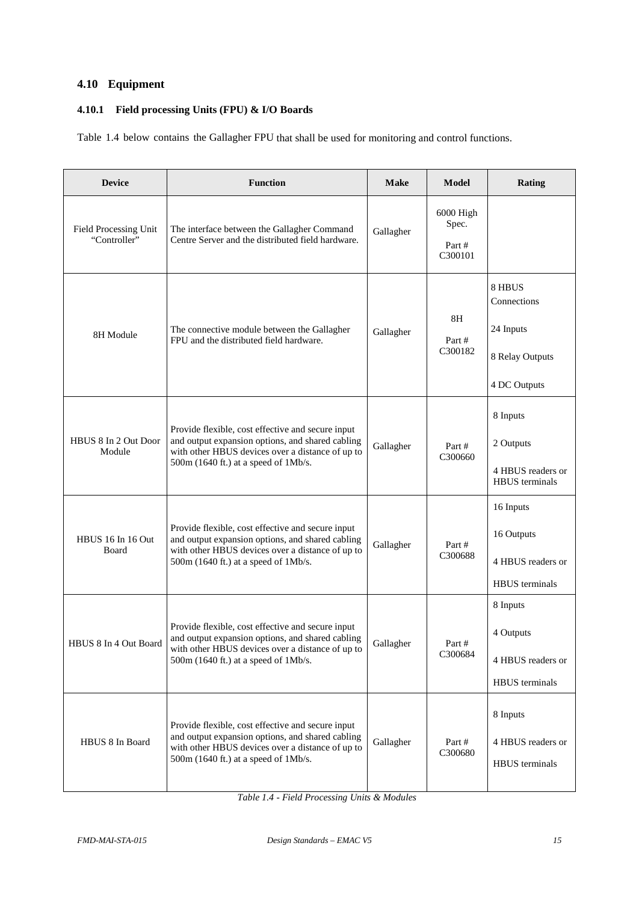# <span id="page-14-0"></span>**4.10 Equipment**

# <span id="page-14-1"></span>**4.10.1 Field processing Units (FPU) & I/O Boards**

Table 1.4 below contains the Gallagher FPU that shall be used for monitoring and control functions.

| <b>Device</b>                         | <b>Function</b>                                                                                                                                                                                     | <b>Make</b> | <b>Model</b>                              | <b>Rating</b>                                                         |
|---------------------------------------|-----------------------------------------------------------------------------------------------------------------------------------------------------------------------------------------------------|-------------|-------------------------------------------|-----------------------------------------------------------------------|
| Field Processing Unit<br>"Controller" | The interface between the Gallagher Command<br>Centre Server and the distributed field hardware.                                                                                                    | Gallagher   | $6000$ High<br>Spec.<br>Part #<br>C300101 |                                                                       |
| 8H Module                             | The connective module between the Gallagher<br>FPU and the distributed field hardware.                                                                                                              | Gallagher   | 8H<br>Part #<br>C300182                   | 8 HBUS<br>Connections<br>24 Inputs<br>8 Relay Outputs<br>4 DC Outputs |
| HBUS 8 In 2 Out Door<br>Module        | Provide flexible, cost effective and secure input<br>and output expansion options, and shared cabling<br>with other HBUS devices over a distance of up to<br>500m (1640 ft.) at a speed of 1Mb/s.   | Gallagher   | Part#<br>C300660                          | 8 Inputs<br>2 Outputs<br>4 HBUS readers or<br><b>HBUS</b> terminals   |
| HBUS 16 In 16 Out<br>Board            | Provide flexible, cost effective and secure input<br>and output expansion options, and shared cabling<br>with other HBUS devices over a distance of up to<br>500m (1640 ft.) at a speed of 1Mb/s.   | Gallagher   | Part#<br>C300688                          | 16 Inputs<br>16 Outputs<br>4 HBUS readers or<br><b>HBUS</b> terminals |
| HBUS 8 In 4 Out Board                 | Provide flexible, cost effective and secure input<br>and output expansion options, and shared cabling<br>with other HBUS devices over a distance of up to<br>$500m$ (1640 ft.) at a speed of 1Mb/s. | Gallagher   | Part #<br>C300684                         | 8 Inputs<br>4 Outputs<br>4 HBUS readers or<br>HBUS terminals          |
| HBUS 8 In Board                       | Provide flexible, cost effective and secure input<br>and output expansion options, and shared cabling<br>with other HBUS devices over a distance of up to<br>500m (1640 ft.) at a speed of 1Mb/s.   | Gallagher   | Part #<br>C300680                         | 8 Inputs<br>4 HBUS readers or<br><b>HBUS</b> terminals                |

*Table 1.4 - Field Processing Units & Modules*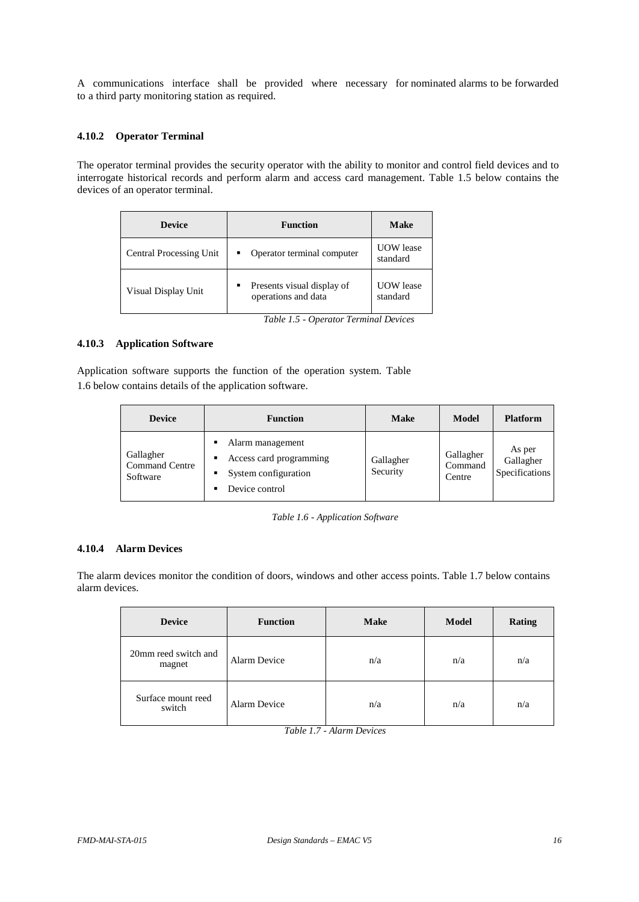A communications interface shall be provided where necessary for nominated alarms to be forwarded to a third party monitoring station as required.

#### <span id="page-15-0"></span>**4.10.2 Operator Terminal**

The operator terminal provides the security operator with the ability to monitor and control field devices and to interrogate historical records and perform alarm and access card management. Table 1.5 below contains the devices of an operator terminal.

| <b>Device</b>           | <b>Function</b>                                   | Make                         |
|-------------------------|---------------------------------------------------|------------------------------|
| Central Processing Unit | Operator terminal computer                        | <b>UOW</b> lease<br>standard |
| Visual Display Unit     | Presents visual display of<br>operations and data | <b>UOW</b> lease<br>standard |

*Table 1.5 - Operator Terminal Devices*

#### <span id="page-15-1"></span>**4.10.3 Application Software**

Application software supports the function of the operation system. Table 1.6 below contains details of the application software.

| <b>Device</b>                                  | <b>Function</b>                                                                                      | <b>Make</b>           | Model                          | <b>Platform</b>                       |
|------------------------------------------------|------------------------------------------------------------------------------------------------------|-----------------------|--------------------------------|---------------------------------------|
| Gallagher<br><b>Command Centre</b><br>Software | Alarm management<br>٠<br>Access card programming<br>٠<br>System configuration<br>٠<br>Device control | Gallagher<br>Security | Gallagher<br>Command<br>Centre | As per<br>Gallagher<br>Specifications |

|  |  | Table 1.6 - Application Software |  |
|--|--|----------------------------------|--|
|--|--|----------------------------------|--|

#### <span id="page-15-2"></span>**4.10.4 Alarm Devices**

The alarm devices monitor the condition of doors, windows and other access points. Table 1.7 below contains alarm devices.

| <b>Device</b>                  | <b>Function</b> | <b>Make</b> | Model | <b>Rating</b> |
|--------------------------------|-----------------|-------------|-------|---------------|
| 20mm reed switch and<br>magnet | Alarm Device    | n/a         | n/a   | n/a           |
| Surface mount reed<br>switch   | Alarm Device    | n/a         | n/a   | n/a           |

*Table 1.7 - Alarm Devices*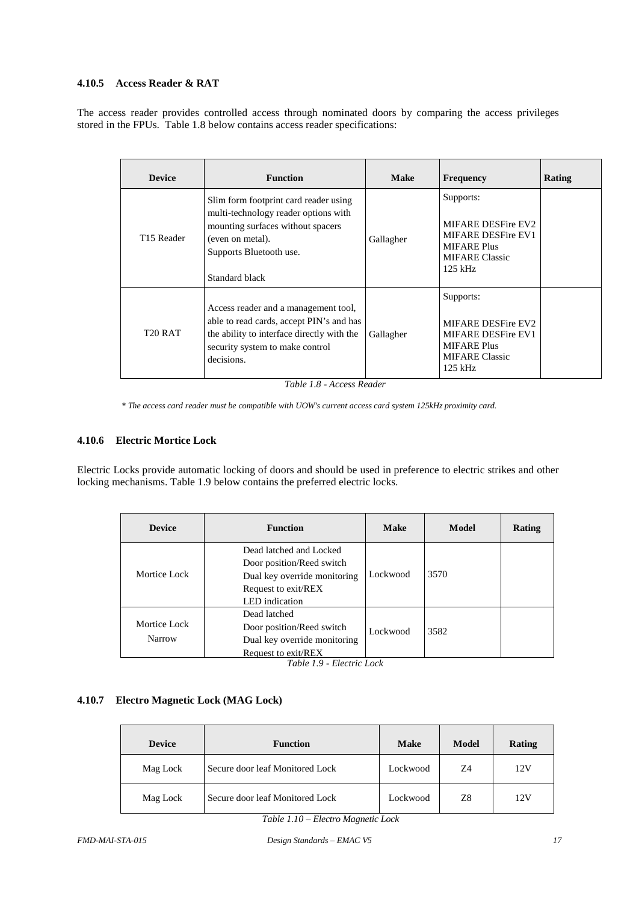### <span id="page-16-0"></span>**4.10.5 Access Reader & RAT**

The access reader provides controlled access through nominated doors by comparing the access privileges stored in the FPUs. Table 1.8 below contains access reader specifications:

| <b>Device</b>          | <b>Function</b>                                                                                                                                                                     | <b>Make</b> | <b>Frequency</b>                                                                                                         | <b>Rating</b> |
|------------------------|-------------------------------------------------------------------------------------------------------------------------------------------------------------------------------------|-------------|--------------------------------------------------------------------------------------------------------------------------|---------------|
| T <sub>15</sub> Reader | Slim form footprint card reader using<br>multi-technology reader options with<br>mounting surfaces without spacers<br>(even on metal).<br>Supports Bluetooth use.<br>Standard black | Gallagher   | Supports:<br>MIFARE DESFire EV2<br>MIFARE DESFire EV1<br><b>MIFARE Plus</b><br><b>MIFARE Classic</b><br>$125$ kHz        |               |
| T <sub>20</sub> RAT    | Access reader and a management tool,<br>able to read cards, accept PIN's and has<br>the ability to interface directly with the<br>security system to make control<br>decisions.     | Gallagher   | Supports:<br>MIFARE DESFire EV2<br><b>MIFARE DESFire EV1</b><br><b>MIFARE Plus</b><br><b>MIFARE Classic</b><br>$125$ kHz |               |

*Table 1.8 - Access Reader*

*\* The access card reader must be compatible with UOW's current access card system 125kHz proximity card.*

#### <span id="page-16-1"></span>**4.10.6 Electric Mortice Lock**

Electric Locks provide automatic locking of doors and should be used in preference to electric strikes and other locking mechanisms. Table 1.9 below contains the preferred electric locks.

| <b>Device</b>          | <b>Function</b>                                                                                                               | <b>Make</b> | Model | Rating |
|------------------------|-------------------------------------------------------------------------------------------------------------------------------|-------------|-------|--------|
| Mortice Lock           | Dead latched and Locked<br>Door position/Reed switch<br>Dual key override monitoring<br>Request to exit/REX<br>LED indication | Lockwood    | 3570  |        |
| Mortice Lock<br>Narrow | Dead latched<br>Door position/Reed switch<br>Dual key override monitoring<br>Request to exit/REX                              | Lockwood    | 3582  |        |

*Table 1.9 - Electric Lock*

# <span id="page-16-2"></span>**4.10.7 Electro Magnetic Lock (MAG Lock)**

| <b>Device</b> | <b>Function</b>                 | Model<br><b>Make</b> |    | Rating |
|---------------|---------------------------------|----------------------|----|--------|
| Mag Lock      | Secure door leaf Monitored Lock | Lockwood             | 74 | 12V    |
| Mag Lock      | Secure door leaf Monitored Lock | Lockwood             | Z8 | 12V    |

*Table 1.10 – Electro Magnetic Lock*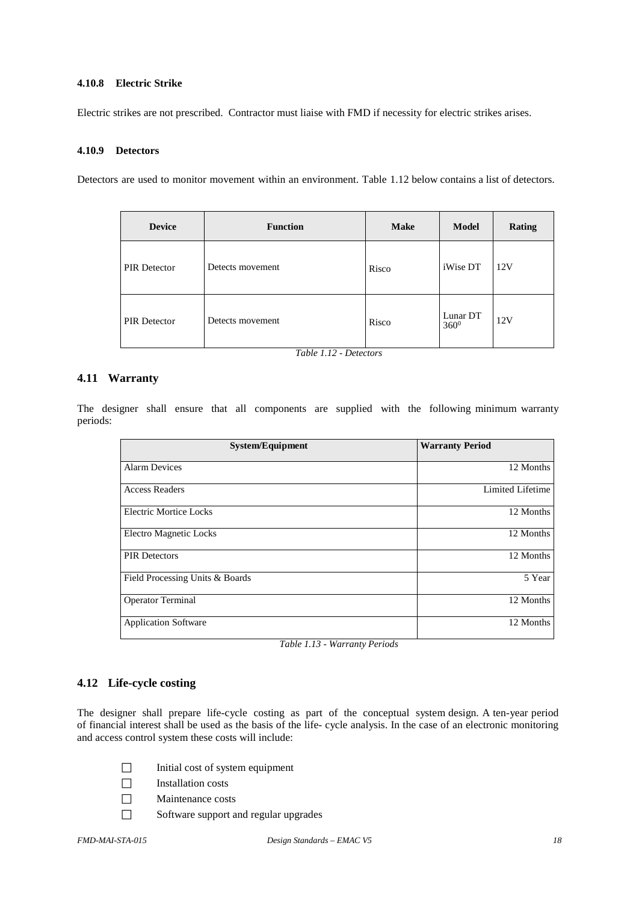#### <span id="page-17-0"></span>**4.10.8 Electric Strike**

Electric strikes are not prescribed. Contractor must liaise with FMD if necessity for electric strikes arises.

#### <span id="page-17-1"></span>**4.10.9 Detectors**

Detectors are used to monitor movement within an environment. Table 1.12 below contains a list of detectors.

| <b>Device</b>       | <b>Function</b>  | <b>Make</b> | <b>Model</b>        | Rating |
|---------------------|------------------|-------------|---------------------|--------|
| <b>PIR Detector</b> | Detects movement | Risco       | iWise DT            | 12V    |
| <b>PIR Detector</b> | Detects movement | Risco       | Lunar DT<br>$360^0$ | 12V    |

*Table 1.12 - Detectors*

#### <span id="page-17-2"></span>**4.11 Warranty**

The designer shall ensure that all components are supplied with the following minimum warranty periods:

| <b>System/Equipment</b>         | <b>Warranty Period</b> |
|---------------------------------|------------------------|
| <b>Alarm Devices</b>            | 12 Months              |
| <b>Access Readers</b>           | Limited Lifetime       |
| Electric Mortice Locks          | 12 Months              |
| <b>Electro Magnetic Locks</b>   | 12 Months              |
| <b>PIR Detectors</b>            | 12 Months              |
| Field Processing Units & Boards | 5 Year                 |
| <b>Operator Terminal</b>        | 12 Months              |
| <b>Application Software</b>     | 12 Months              |

*Table 1.13 - Warranty Periods*

#### <span id="page-17-3"></span>**4.12 Life-cycle costing**

The designer shall prepare life-cycle costing as part of the conceptual system design. A ten-year period of financial interest shall be used as the basis of the life- cycle analysis. In the case of an electronic monitoring and access control system these costs will include:

- $\Box$  Initial cost of system equipment
- $\Box$  Installation costs
- Maintenance costs
- Software support and regular upgrades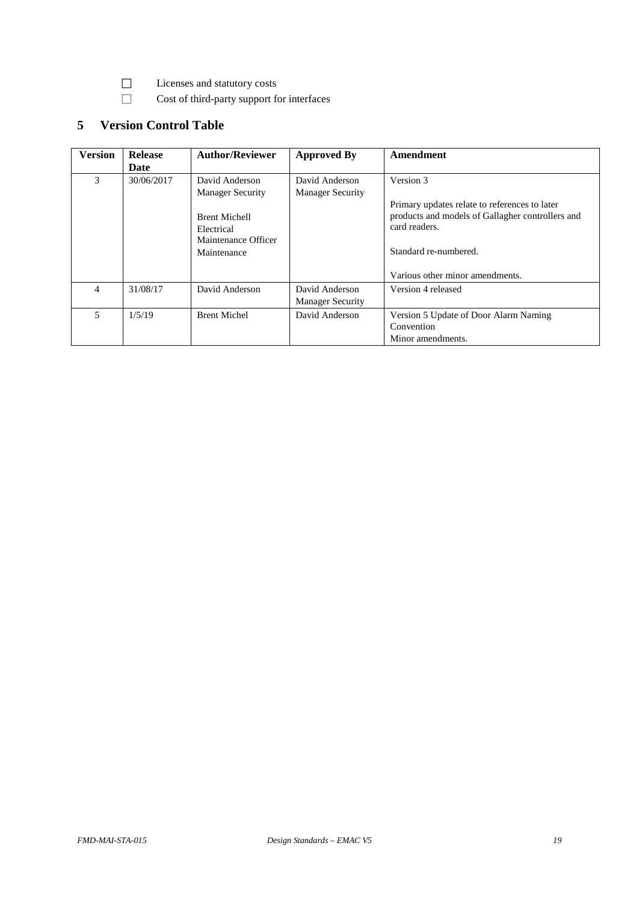- Licenses and statutory costs
- □ Cost of third-party support for interfaces

# <span id="page-18-0"></span>**5 Version Control Table**

| <b>Version</b> | <b>Release</b> | <b>Author/Reviewer</b>                                                   | <b>Approved By</b>                        | Amendment                                                                                                                                   |
|----------------|----------------|--------------------------------------------------------------------------|-------------------------------------------|---------------------------------------------------------------------------------------------------------------------------------------------|
|                | Date           |                                                                          |                                           |                                                                                                                                             |
| 3              | 30/06/2017     | David Anderson                                                           | David Anderson                            | Version 3                                                                                                                                   |
|                |                | <b>Manager Security</b>                                                  | <b>Manager Security</b>                   |                                                                                                                                             |
|                |                | <b>Brent Michell</b><br>Electrical<br>Maintenance Officer<br>Maintenance |                                           | Primary updates relate to references to later<br>products and models of Gallagher controllers and<br>card readers.<br>Standard re-numbered. |
|                |                |                                                                          |                                           | Various other minor amendments.                                                                                                             |
| 4              | 31/08/17       | David Anderson                                                           | David Anderson<br><b>Manager Security</b> | Version 4 released                                                                                                                          |
| 5              | 1/5/19         | <b>Brent Michel</b>                                                      | David Anderson                            | Version 5 Update of Door Alarm Naming<br>Convention<br>Minor amendments.                                                                    |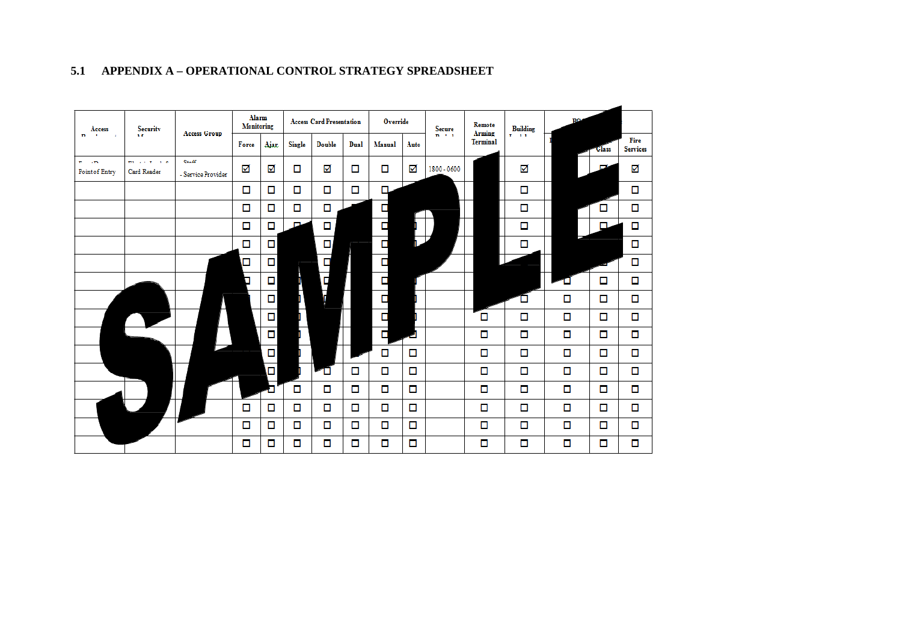<span id="page-19-0"></span>

# **5.1 APPENDIX A – OPERATIONAL CONTROL STRATEGY SPREADSHEET**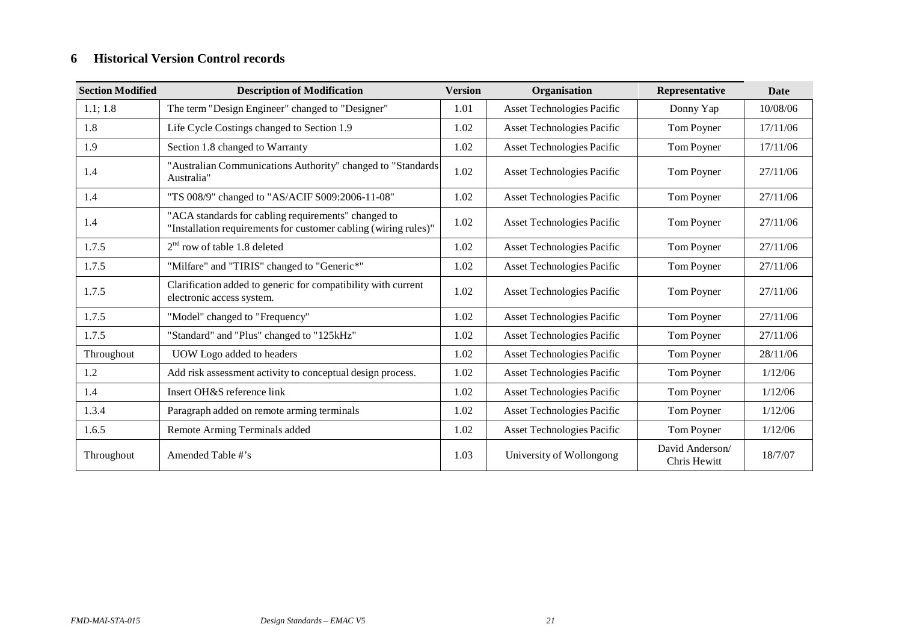# **6 Historical Version Control records**

<span id="page-20-0"></span>

| <b>Section Modified</b> | <b>Description of Modification</b>                                                                                     | <b>Version</b> | Organisation                      | Representative                  | <b>Date</b> |
|-------------------------|------------------------------------------------------------------------------------------------------------------------|----------------|-----------------------------------|---------------------------------|-------------|
| 1.1; 1.8                | The term "Design Engineer" changed to "Designer"                                                                       | 1.01           | <b>Asset Technologies Pacific</b> | Donny Yap                       | 10/08/06    |
| 1.8                     | Life Cycle Costings changed to Section 1.9                                                                             | 1.02           | <b>Asset Technologies Pacific</b> | Tom Poyner                      | 17/11/06    |
| 1.9                     | Section 1.8 changed to Warranty                                                                                        | 1.02           | <b>Asset Technologies Pacific</b> | Tom Poyner                      | 17/11/06    |
| 1.4                     | "Australian Communications Authority" changed to "Standards"<br>Australia"                                             | 1.02           | <b>Asset Technologies Pacific</b> | Tom Poyner                      | 27/11/06    |
| 1.4                     | "TS 008/9" changed to "AS/ACIF S009:2006-11-08"                                                                        | 1.02           | <b>Asset Technologies Pacific</b> | Tom Poyner                      | 27/11/06    |
| 1.4                     | "ACA standards for cabling requirements" changed to<br>"Installation requirements for customer cabling (wiring rules)" | 1.02           | <b>Asset Technologies Pacific</b> | Tom Poyner                      | 27/11/06    |
| 1.7.5                   | $2nd$ row of table 1.8 deleted                                                                                         | 1.02           | <b>Asset Technologies Pacific</b> | Tom Poyner                      | 27/11/06    |
| 1.7.5                   | "Milfare" and "TIRIS" changed to "Generic*"                                                                            | 1.02           | Asset Technologies Pacific        | Tom Poyner                      | 27/11/06    |
| 1.7.5                   | Clarification added to generic for compatibility with current<br>electronic access system.                             | 1.02           | <b>Asset Technologies Pacific</b> | Tom Poyner                      | 27/11/06    |
| 1.7.5                   | "Model" changed to "Frequency"                                                                                         | 1.02           | Asset Technologies Pacific        | Tom Poyner                      | 27/11/06    |
| 1.7.5                   | "Standard" and "Plus" changed to "125kHz"                                                                              | 1.02           | Asset Technologies Pacific        | Tom Poyner                      | 27/11/06    |
| Throughout              | UOW Logo added to headers                                                                                              | 1.02           | <b>Asset Technologies Pacific</b> | Tom Poyner                      | 28/11/06    |
| 1.2                     | Add risk assessment activity to conceptual design process.                                                             | 1.02           | <b>Asset Technologies Pacific</b> | Tom Poyner                      | 1/12/06     |
| 1.4                     | Insert OH&S reference link                                                                                             | 1.02           | <b>Asset Technologies Pacific</b> | Tom Poyner                      | 1/12/06     |
| 1.3.4                   | Paragraph added on remote arming terminals                                                                             | 1.02           | Asset Technologies Pacific        | Tom Poyner                      | 1/12/06     |
| 1.6.5                   | Remote Arming Terminals added                                                                                          | 1.02           | Asset Technologies Pacific        | Tom Poyner                      | 1/12/06     |
| Throughout              | Amended Table #'s                                                                                                      | 1.03           | University of Wollongong          | David Anderson/<br>Chris Hewitt | 18/7/07     |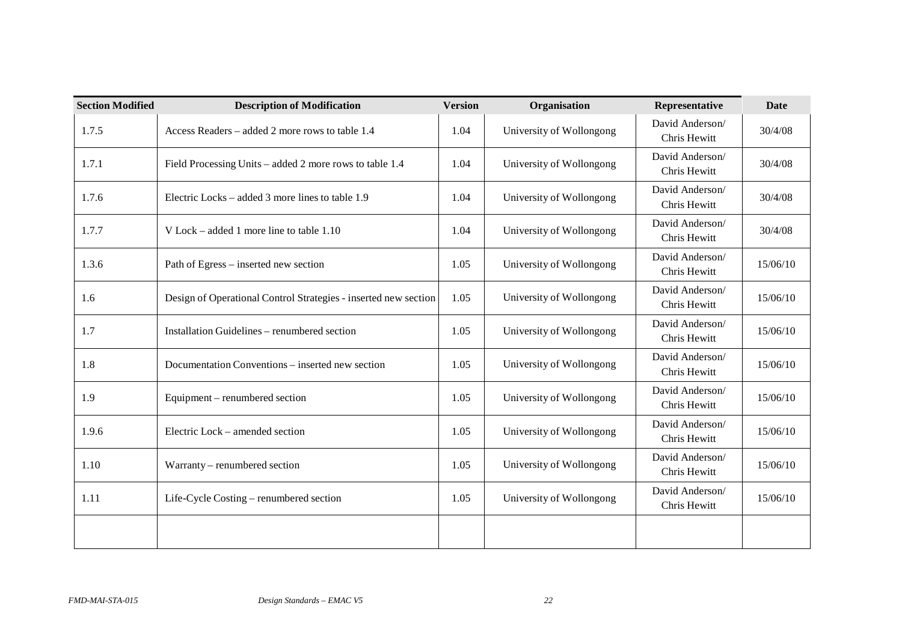| <b>Section Modified</b> | <b>Description of Modification</b>                              | <b>Version</b> | Organisation             | Representative                  | <b>Date</b> |
|-------------------------|-----------------------------------------------------------------|----------------|--------------------------|---------------------------------|-------------|
| 1.7.5                   | Access Readers – added 2 more rows to table 1.4                 | 1.04           | University of Wollongong | David Anderson/<br>Chris Hewitt | 30/4/08     |
| 1.7.1                   | Field Processing Units – added 2 more rows to table 1.4         | 1.04           | University of Wollongong | David Anderson/<br>Chris Hewitt | 30/4/08     |
| 1.7.6                   | Electric Locks – added 3 more lines to table 1.9                | 1.04           | University of Wollongong | David Anderson/<br>Chris Hewitt | 30/4/08     |
| 1.7.7                   | V Lock – added 1 more line to table $1.10$                      | 1.04           | University of Wollongong | David Anderson/<br>Chris Hewitt | 30/4/08     |
| 1.3.6                   | Path of Egress – inserted new section                           | 1.05           | University of Wollongong | David Anderson/<br>Chris Hewitt | 15/06/10    |
| 1.6                     | Design of Operational Control Strategies - inserted new section | 1.05           | University of Wollongong | David Anderson/<br>Chris Hewitt | 15/06/10    |
| 1.7                     | Installation Guidelines - renumbered section                    | 1.05           | University of Wollongong | David Anderson/<br>Chris Hewitt | 15/06/10    |
| 1.8                     | Documentation Conventions - inserted new section                | 1.05           | University of Wollongong | David Anderson/<br>Chris Hewitt | 15/06/10    |
| 1.9                     | Equipment – renumbered section                                  | 1.05           | University of Wollongong | David Anderson/<br>Chris Hewitt | 15/06/10    |
| 1.9.6                   | Electric Lock – amended section                                 | 1.05           | University of Wollongong | David Anderson/<br>Chris Hewitt | 15/06/10    |
| 1.10                    | Warranty – renumbered section                                   | 1.05           | University of Wollongong | David Anderson/<br>Chris Hewitt | 15/06/10    |
| 1.11                    | Life-Cycle Costing – renumbered section                         | 1.05           | University of Wollongong | David Anderson/<br>Chris Hewitt | 15/06/10    |
|                         |                                                                 |                |                          |                                 |             |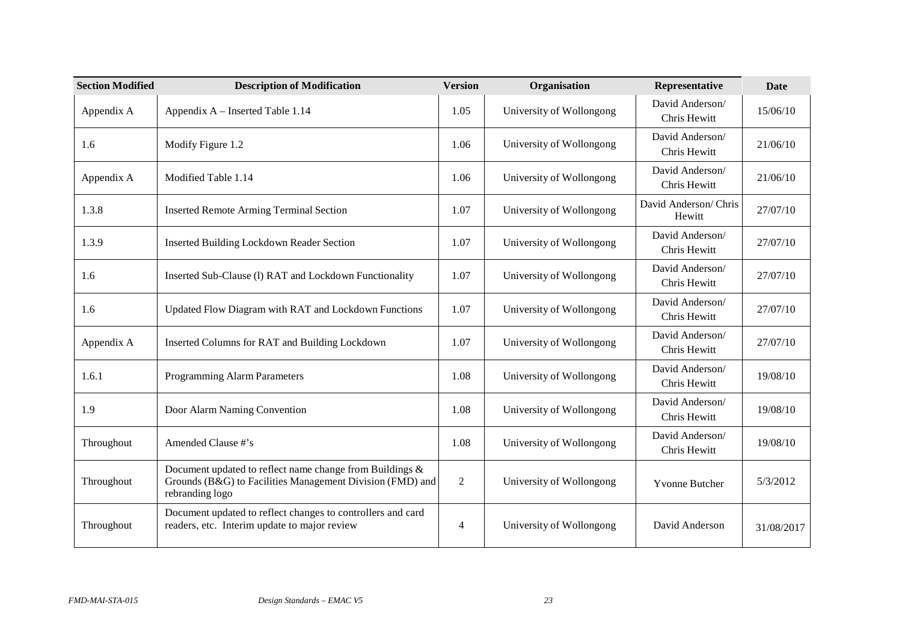| <b>Section Modified</b> | <b>Description of Modification</b>                                                                                                       | <b>Version</b> | Organisation             | Representative                  | <b>Date</b> |
|-------------------------|------------------------------------------------------------------------------------------------------------------------------------------|----------------|--------------------------|---------------------------------|-------------|
| Appendix A              | Appendix A – Inserted Table 1.14                                                                                                         | 1.05           | University of Wollongong | David Anderson/<br>Chris Hewitt | 15/06/10    |
| 1.6                     | Modify Figure 1.2                                                                                                                        | 1.06           | University of Wollongong | David Anderson/<br>Chris Hewitt | 21/06/10    |
| Appendix A              | Modified Table 1.14                                                                                                                      | 1.06           | University of Wollongong | David Anderson/<br>Chris Hewitt | 21/06/10    |
| 1.3.8                   | <b>Inserted Remote Arming Terminal Section</b>                                                                                           | 1.07           | University of Wollongong | David Anderson/Chris<br>Hewitt  | 27/07/10    |
| 1.3.9                   | <b>Inserted Building Lockdown Reader Section</b>                                                                                         | 1.07           | University of Wollongong | David Anderson/<br>Chris Hewitt | 27/07/10    |
| 1.6                     | Inserted Sub-Clause (1) RAT and Lockdown Functionality                                                                                   | 1.07           | University of Wollongong | David Anderson/<br>Chris Hewitt | 27/07/10    |
| 1.6                     | Updated Flow Diagram with RAT and Lockdown Functions                                                                                     | 1.07           | University of Wollongong | David Anderson/<br>Chris Hewitt | 27/07/10    |
| Appendix A              | Inserted Columns for RAT and Building Lockdown                                                                                           | 1.07           | University of Wollongong | David Anderson/<br>Chris Hewitt | 27/07/10    |
| 1.6.1                   | Programming Alarm Parameters                                                                                                             | 1.08           | University of Wollongong | David Anderson/<br>Chris Hewitt | 19/08/10    |
| 1.9                     | Door Alarm Naming Convention                                                                                                             | 1.08           | University of Wollongong | David Anderson/<br>Chris Hewitt | 19/08/10    |
| Throughout              | Amended Clause #'s                                                                                                                       | 1.08           | University of Wollongong | David Anderson/<br>Chris Hewitt | 19/08/10    |
| Throughout              | Document updated to reflect name change from Buildings &<br>Grounds (B&G) to Facilities Management Division (FMD) and<br>rebranding logo | $\overline{2}$ | University of Wollongong | <b>Yvonne Butcher</b>           | 5/3/2012    |
| Throughout              | Document updated to reflect changes to controllers and card<br>readers, etc. Interim update to major review                              | 4              | University of Wollongong | David Anderson                  | 31/08/2017  |